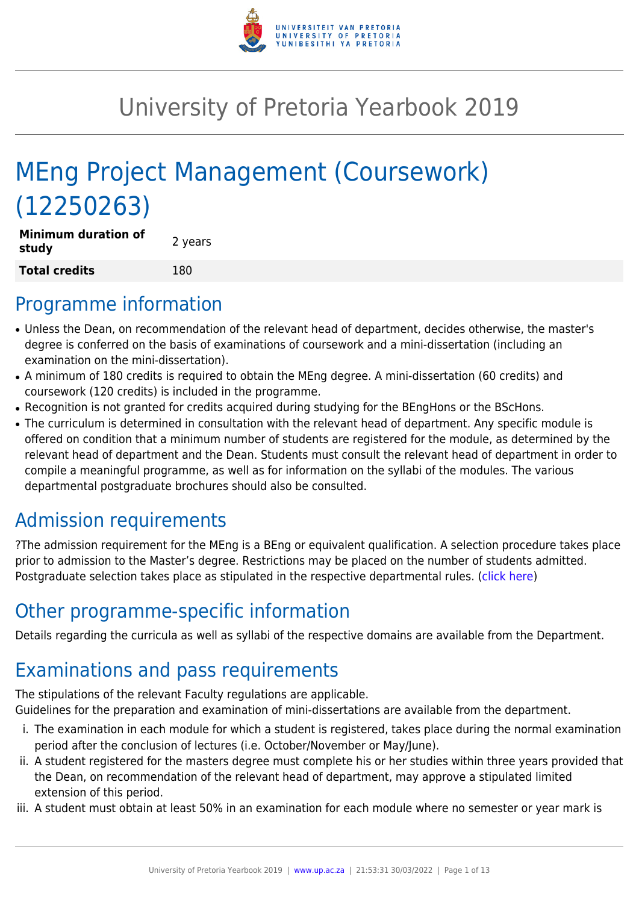

# University of Pretoria Yearbook 2019

# MEng Project Management (Coursework) (12250263)

| <b>Minimum duration of</b><br>study | 2 years |
|-------------------------------------|---------|
| <b>Total credits</b>                | 180     |

## Programme information

- Unless the Dean, on recommendation of the relevant head of department, decides otherwise, the master's degree is conferred on the basis of examinations of coursework and a mini-dissertation (including an examination on the mini-dissertation).
- A minimum of 180 credits is required to obtain the MEng degree. A mini-dissertation (60 credits) and coursework (120 credits) is included in the programme.
- Recognition is not granted for credits acquired during studying for the BEngHons or the BScHons.
- The curriculum is determined in consultation with the relevant head of department. Any specific module is offered on condition that a minimum number of students are registered for the module, as determined by the relevant head of department and the Dean. Students must consult the relevant head of department in order to compile a meaningful programme, as well as for information on the syllabi of the modules. The various departmental postgraduate brochures should also be consulted.

## Admission requirements

?The admission requirement for the MEng is a BEng or equivalent qualification. A selection procedure takes place prior to admission to the Master's degree. Restrictions may be placed on the number of students admitted. Postgraduate selection takes place as stipulated in the respective departmental rules. [\(click here](http://www.up.ac.za/gstm))

## Other programme-specific information

Details regarding the curricula as well as syllabi of the respective domains are available from the Department.

## Examinations and pass requirements

The stipulations of the relevant Faculty regulations are applicable.

Guidelines for the preparation and examination of mini-dissertations are available from the department.

- i. The examination in each module for which a student is registered, takes place during the normal examination period after the conclusion of lectures (i.e. October/November or May/June).
- ii. A student registered for the masters degree must complete his or her studies within three years provided that the Dean, on recommendation of the relevant head of department, may approve a stipulated limited extension of this period.
- iii. A student must obtain at least 50% in an examination for each module where no semester or year mark is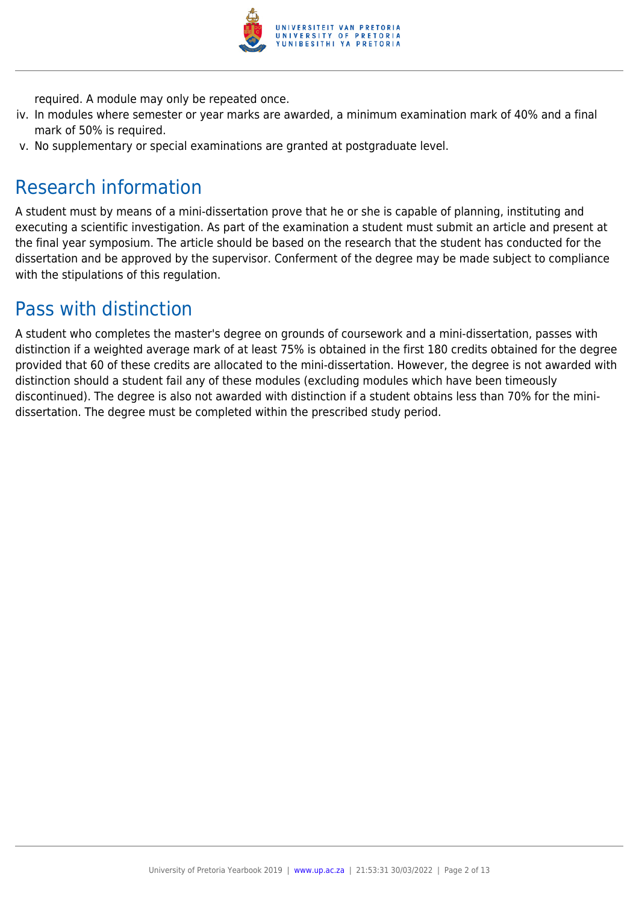

required. A module may only be repeated once.

- iv. In modules where semester or year marks are awarded, a minimum examination mark of 40% and a final mark of 50% is required.
- v. No supplementary or special examinations are granted at postgraduate level.

## Research information

A student must by means of a mini-dissertation prove that he or she is capable of planning, instituting and executing a scientific investigation. As part of the examination a student must submit an article and present at the final year symposium. The article should be based on the research that the student has conducted for the dissertation and be approved by the supervisor. Conferment of the degree may be made subject to compliance with the stipulations of this regulation.

## Pass with distinction

A student who completes the master's degree on grounds of coursework and a mini-dissertation, passes with distinction if a weighted average mark of at least 75% is obtained in the first 180 credits obtained for the degree provided that 60 of these credits are allocated to the mini-dissertation. However, the degree is not awarded with distinction should a student fail any of these modules (excluding modules which have been timeously discontinued). The degree is also not awarded with distinction if a student obtains less than 70% for the minidissertation. The degree must be completed within the prescribed study period.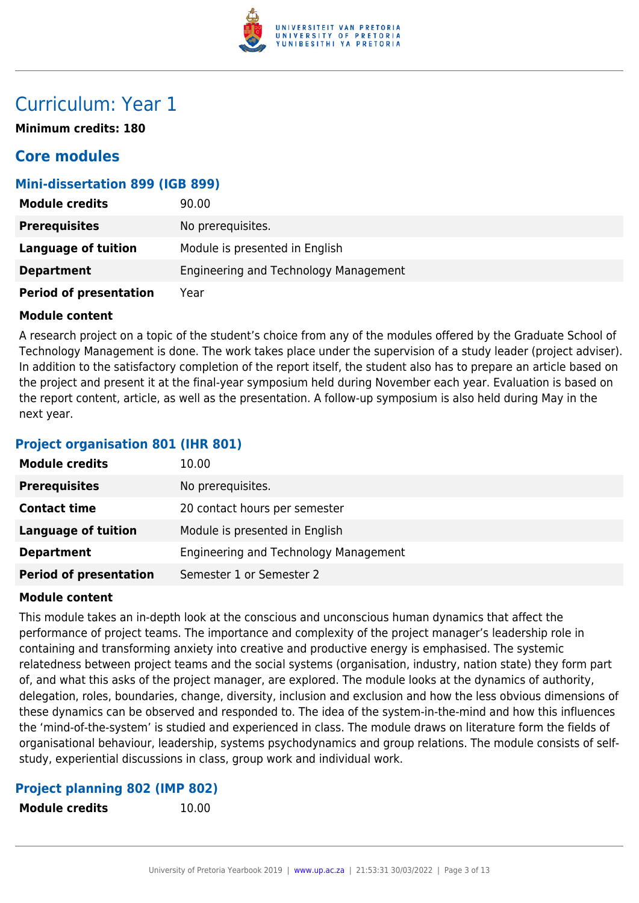

## Curriculum: Year 1

**Minimum credits: 180**

### **Core modules**

### **Mini-dissertation 899 (IGB 899)**

| <b>Module credits</b>         | 90.00                                 |
|-------------------------------|---------------------------------------|
| <b>Prerequisites</b>          | No prerequisites.                     |
| <b>Language of tuition</b>    | Module is presented in English        |
| <b>Department</b>             | Engineering and Technology Management |
| <b>Period of presentation</b> | Year                                  |

### **Module content**

A research project on a topic of the student's choice from any of the modules offered by the Graduate School of Technology Management is done. The work takes place under the supervision of a study leader (project adviser). In addition to the satisfactory completion of the report itself, the student also has to prepare an article based on the project and present it at the final-year symposium held during November each year. Evaluation is based on the report content, article, as well as the presentation. A follow-up symposium is also held during May in the next year.

### **Project organisation 801 (IHR 801)**

| <b>Module credits</b>         | 10.00                                 |
|-------------------------------|---------------------------------------|
| <b>Prerequisites</b>          | No prerequisites.                     |
| <b>Contact time</b>           | 20 contact hours per semester         |
| Language of tuition           | Module is presented in English        |
| <b>Department</b>             | Engineering and Technology Management |
| <b>Period of presentation</b> | Semester 1 or Semester 2              |

### **Module content**

This module takes an in-depth look at the conscious and unconscious human dynamics that affect the performance of project teams. The importance and complexity of the project manager's leadership role in containing and transforming anxiety into creative and productive energy is emphasised. The systemic relatedness between project teams and the social systems (organisation, industry, nation state) they form part of, and what this asks of the project manager, are explored. The module looks at the dynamics of authority, delegation, roles, boundaries, change, diversity, inclusion and exclusion and how the less obvious dimensions of these dynamics can be observed and responded to. The idea of the system-in-the-mind and how this influences the 'mind-of-the-system' is studied and experienced in class. The module draws on literature form the fields of organisational behaviour, leadership, systems psychodynamics and group relations. The module consists of selfstudy, experiential discussions in class, group work and individual work.

### **Project planning 802 (IMP 802)**

**Module credits** 10.00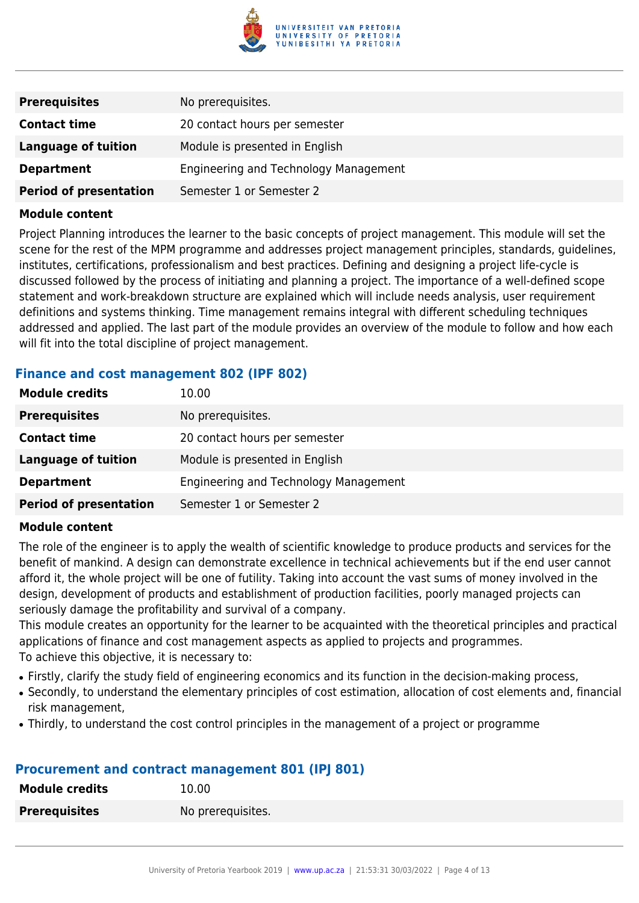

| <b>Prerequisites</b>          | No prerequisites.                     |
|-------------------------------|---------------------------------------|
| <b>Contact time</b>           | 20 contact hours per semester         |
| Language of tuition           | Module is presented in English        |
| <b>Department</b>             | Engineering and Technology Management |
| <b>Period of presentation</b> | Semester 1 or Semester 2              |

Project Planning introduces the learner to the basic concepts of project management. This module will set the scene for the rest of the MPM programme and addresses project management principles, standards, guidelines, institutes, certifications, professionalism and best practices. Defining and designing a project life-cycle is discussed followed by the process of initiating and planning a project. The importance of a well-defined scope statement and work-breakdown structure are explained which will include needs analysis, user requirement definitions and systems thinking. Time management remains integral with different scheduling techniques addressed and applied. The last part of the module provides an overview of the module to follow and how each will fit into the total discipline of project management.

### **Finance and cost management 802 (IPF 802)**

| <b>Module credits</b>         | 10.00                                 |
|-------------------------------|---------------------------------------|
| <b>Prerequisites</b>          | No prerequisites.                     |
| <b>Contact time</b>           | 20 contact hours per semester         |
| Language of tuition           | Module is presented in English        |
| <b>Department</b>             | Engineering and Technology Management |
| <b>Period of presentation</b> | Semester 1 or Semester 2              |

### **Module content**

The role of the engineer is to apply the wealth of scientific knowledge to produce products and services for the benefit of mankind. A design can demonstrate excellence in technical achievements but if the end user cannot afford it, the whole project will be one of futility. Taking into account the vast sums of money involved in the design, development of products and establishment of production facilities, poorly managed projects can seriously damage the profitability and survival of a company.

This module creates an opportunity for the learner to be acquainted with the theoretical principles and practical applications of finance and cost management aspects as applied to projects and programmes. To achieve this objective, it is necessary to:

- Firstly, clarify the study field of engineering economics and its function in the decision-making process,
- Secondly, to understand the elementary principles of cost estimation, allocation of cost elements and, financial risk management,
- Thirdly, to understand the cost control principles in the management of a project or programme

### **Procurement and contract management 801 (IPJ 801)**

| <b>Module credits</b> | 10.00             |
|-----------------------|-------------------|
| <b>Prerequisites</b>  | No prerequisites. |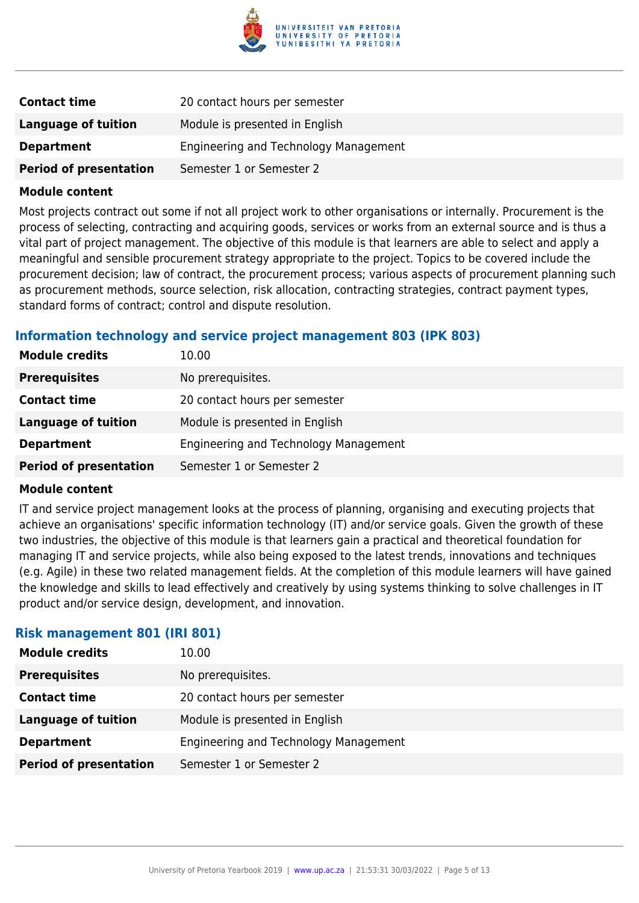

| <b>Contact time</b>           | 20 contact hours per semester         |
|-------------------------------|---------------------------------------|
| Language of tuition           | Module is presented in English        |
| <b>Department</b>             | Engineering and Technology Management |
| <b>Period of presentation</b> | Semester 1 or Semester 2              |

Most projects contract out some if not all project work to other organisations or internally. Procurement is the process of selecting, contracting and acquiring goods, services or works from an external source and is thus a vital part of project management. The objective of this module is that learners are able to select and apply a meaningful and sensible procurement strategy appropriate to the project. Topics to be covered include the procurement decision; law of contract, the procurement process; various aspects of procurement planning such as procurement methods, source selection, risk allocation, contracting strategies, contract payment types, standard forms of contract; control and dispute resolution.

### **Information technology and service project management 803 (IPK 803)**

| <b>Module credits</b>         | 10.00                                 |
|-------------------------------|---------------------------------------|
| <b>Prerequisites</b>          | No prerequisites.                     |
| <b>Contact time</b>           | 20 contact hours per semester         |
| <b>Language of tuition</b>    | Module is presented in English        |
| <b>Department</b>             | Engineering and Technology Management |
| <b>Period of presentation</b> | Semester 1 or Semester 2              |

### **Module content**

IT and service project management looks at the process of planning, organising and executing projects that achieve an organisations' specific information technology (IT) and/or service goals. Given the growth of these two industries, the objective of this module is that learners gain a practical and theoretical foundation for managing IT and service projects, while also being exposed to the latest trends, innovations and techniques (e.g. Agile) in these two related management fields. At the completion of this module learners will have gained the knowledge and skills to lead effectively and creatively by using systems thinking to solve challenges in IT product and/or service design, development, and innovation.

### **Risk management 801 (IRI 801)**

| <b>Module credits</b>         | 10.00                                 |
|-------------------------------|---------------------------------------|
| <b>Prerequisites</b>          | No prerequisites.                     |
| <b>Contact time</b>           | 20 contact hours per semester         |
| <b>Language of tuition</b>    | Module is presented in English        |
| <b>Department</b>             | Engineering and Technology Management |
| <b>Period of presentation</b> | Semester 1 or Semester 2              |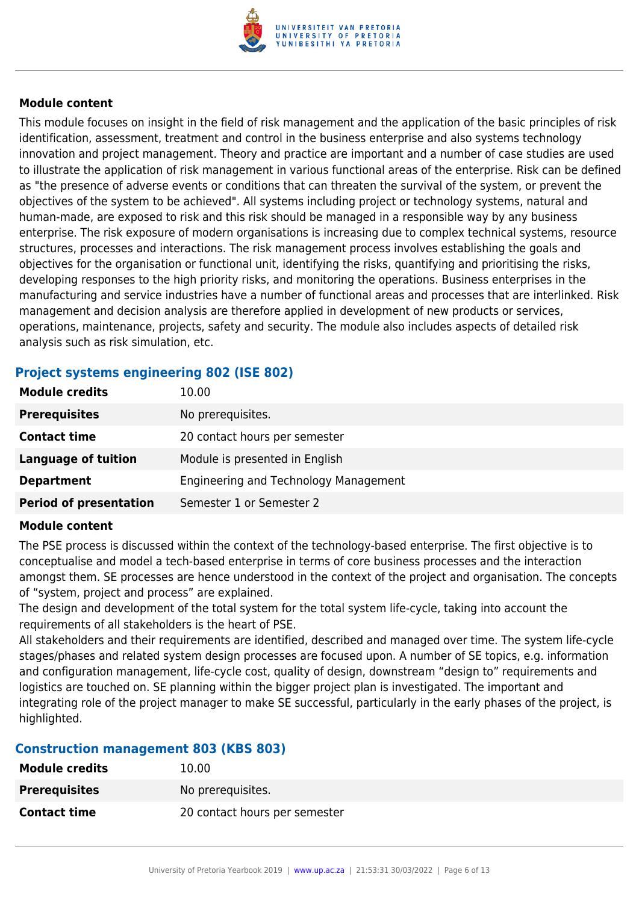

This module focuses on insight in the field of risk management and the application of the basic principles of risk identification, assessment, treatment and control in the business enterprise and also systems technology innovation and project management. Theory and practice are important and a number of case studies are used to illustrate the application of risk management in various functional areas of the enterprise. Risk can be defined as "the presence of adverse events or conditions that can threaten the survival of the system, or prevent the objectives of the system to be achieved". All systems including project or technology systems, natural and human-made, are exposed to risk and this risk should be managed in a responsible way by any business enterprise. The risk exposure of modern organisations is increasing due to complex technical systems, resource structures, processes and interactions. The risk management process involves establishing the goals and objectives for the organisation or functional unit, identifying the risks, quantifying and prioritising the risks, developing responses to the high priority risks, and monitoring the operations. Business enterprises in the manufacturing and service industries have a number of functional areas and processes that are interlinked. Risk management and decision analysis are therefore applied in development of new products or services, operations, maintenance, projects, safety and security. The module also includes aspects of detailed risk analysis such as risk simulation, etc.

### **Project systems engineering 802 (ISE 802)**

| <b>Module credits</b>         | 10.00                                 |
|-------------------------------|---------------------------------------|
| <b>Prerequisites</b>          | No prerequisites.                     |
| <b>Contact time</b>           | 20 contact hours per semester         |
| <b>Language of tuition</b>    | Module is presented in English        |
| <b>Department</b>             | Engineering and Technology Management |
| <b>Period of presentation</b> | Semester 1 or Semester 2              |

### **Module content**

The PSE process is discussed within the context of the technology-based enterprise. The first objective is to conceptualise and model a tech-based enterprise in terms of core business processes and the interaction amongst them. SE processes are hence understood in the context of the project and organisation. The concepts of "system, project and process" are explained.

The design and development of the total system for the total system life-cycle, taking into account the requirements of all stakeholders is the heart of PSE.

All stakeholders and their requirements are identified, described and managed over time. The system life-cycle stages/phases and related system design processes are focused upon. A number of SE topics, e.g. information and configuration management, life-cycle cost, quality of design, downstream "design to" requirements and logistics are touched on. SE planning within the bigger project plan is investigated. The important and integrating role of the project manager to make SE successful, particularly in the early phases of the project, is highlighted.

### **Construction management 803 (KBS 803)**

| <b>Module credits</b> | 10.00                         |
|-----------------------|-------------------------------|
| <b>Prerequisites</b>  | No prerequisites.             |
| <b>Contact time</b>   | 20 contact hours per semester |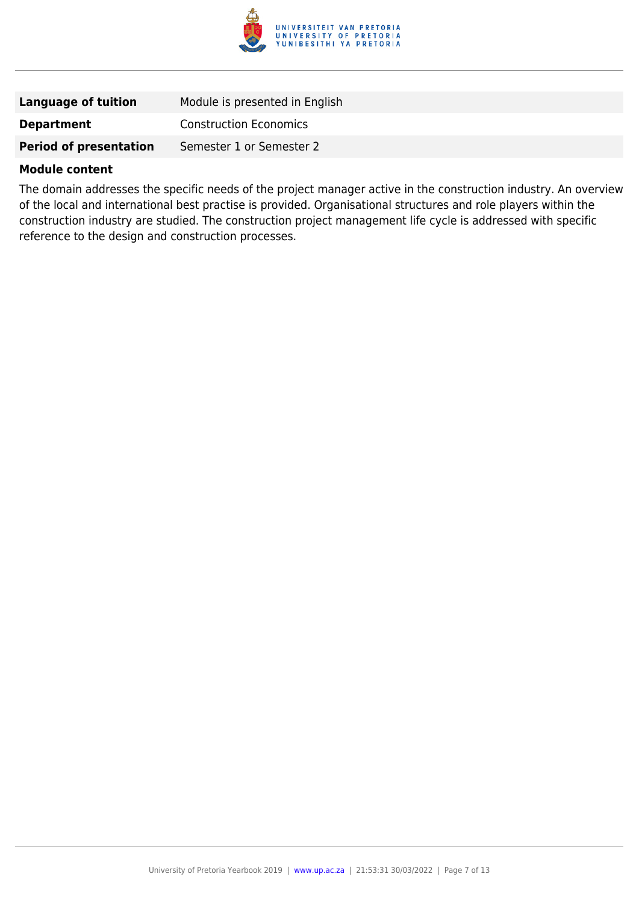

| Language of tuition           | Module is presented in English |
|-------------------------------|--------------------------------|
| <b>Department</b>             | <b>Construction Economics</b>  |
| <b>Period of presentation</b> | Semester 1 or Semester 2       |

The domain addresses the specific needs of the project manager active in the construction industry. An overview of the local and international best practise is provided. Organisational structures and role players within the construction industry are studied. The construction project management life cycle is addressed with specific reference to the design and construction processes.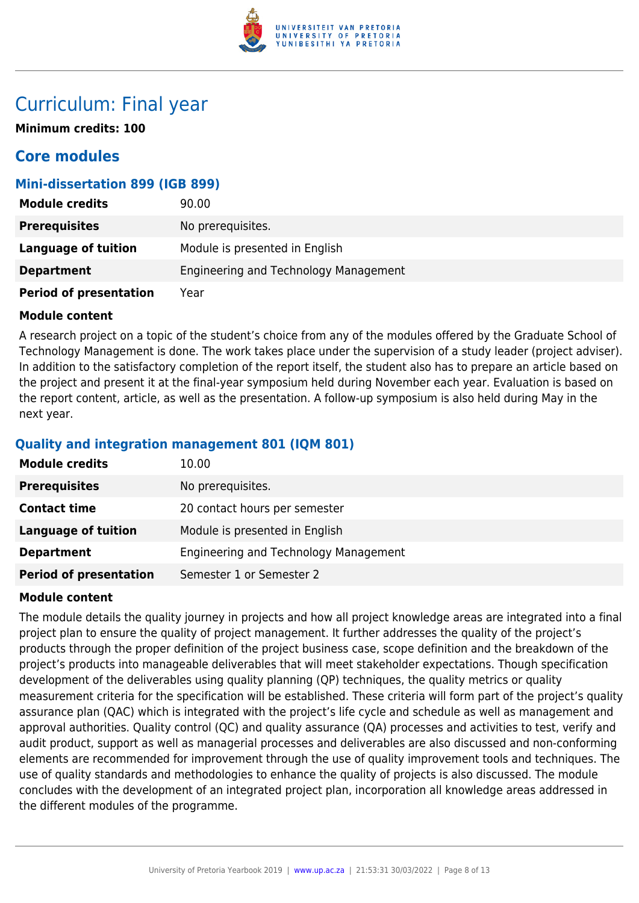

## Curriculum: Final year

**Minimum credits: 100**

### **Core modules**

### **Mini-dissertation 899 (IGB 899)**

| <b>Module credits</b>         | 90.00                                 |
|-------------------------------|---------------------------------------|
| <b>Prerequisites</b>          | No prerequisites.                     |
| Language of tuition           | Module is presented in English        |
| <b>Department</b>             | Engineering and Technology Management |
| <b>Period of presentation</b> | Year                                  |

### **Module content**

A research project on a topic of the student's choice from any of the modules offered by the Graduate School of Technology Management is done. The work takes place under the supervision of a study leader (project adviser). In addition to the satisfactory completion of the report itself, the student also has to prepare an article based on the project and present it at the final-year symposium held during November each year. Evaluation is based on the report content, article, as well as the presentation. A follow-up symposium is also held during May in the next year.

### **Quality and integration management 801 (IQM 801)**

| <b>Module credits</b>         | 10.00                                 |
|-------------------------------|---------------------------------------|
| <b>Prerequisites</b>          | No prerequisites.                     |
| <b>Contact time</b>           | 20 contact hours per semester         |
| <b>Language of tuition</b>    | Module is presented in English        |
| <b>Department</b>             | Engineering and Technology Management |
| <b>Period of presentation</b> | Semester 1 or Semester 2              |

### **Module content**

The module details the quality journey in projects and how all project knowledge areas are integrated into a final project plan to ensure the quality of project management. It further addresses the quality of the project's products through the proper definition of the project business case, scope definition and the breakdown of the project's products into manageable deliverables that will meet stakeholder expectations. Though specification development of the deliverables using quality planning (QP) techniques, the quality metrics or quality measurement criteria for the specification will be established. These criteria will form part of the project's quality assurance plan (QAC) which is integrated with the project's life cycle and schedule as well as management and approval authorities. Quality control (QC) and quality assurance (QA) processes and activities to test, verify and audit product, support as well as managerial processes and deliverables are also discussed and non-conforming elements are recommended for improvement through the use of quality improvement tools and techniques. The use of quality standards and methodologies to enhance the quality of projects is also discussed. The module concludes with the development of an integrated project plan, incorporation all knowledge areas addressed in the different modules of the programme.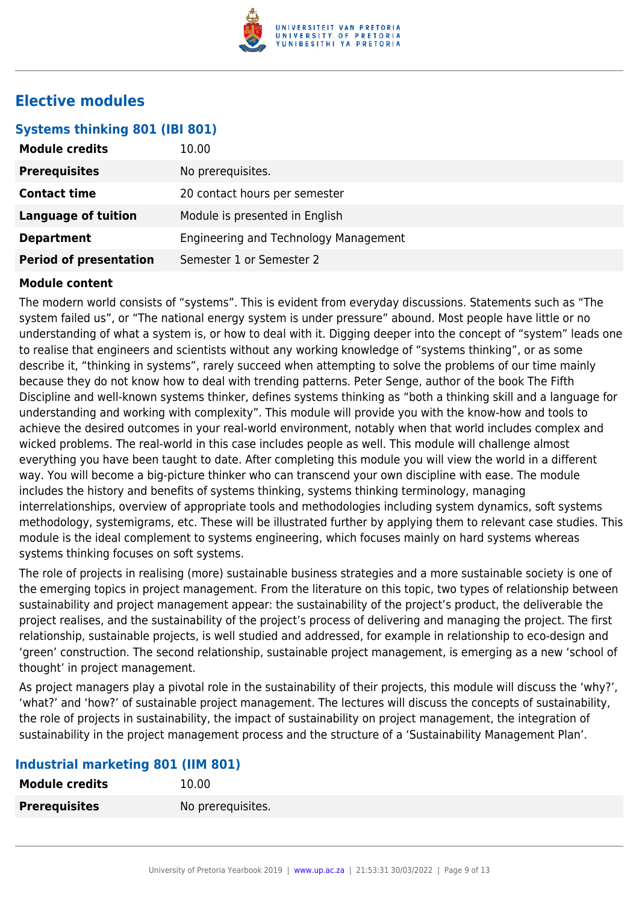

### **Elective modules**

### **Systems thinking 801 (IBI 801)**

| <b>Module credits</b>         | 10.00                                 |
|-------------------------------|---------------------------------------|
| <b>Prerequisites</b>          | No prerequisites.                     |
| <b>Contact time</b>           | 20 contact hours per semester         |
| <b>Language of tuition</b>    | Module is presented in English        |
| <b>Department</b>             | Engineering and Technology Management |
| <b>Period of presentation</b> | Semester 1 or Semester 2              |

### **Module content**

The modern world consists of "systems". This is evident from everyday discussions. Statements such as "The system failed us", or "The national energy system is under pressure" abound. Most people have little or no understanding of what a system is, or how to deal with it. Digging deeper into the concept of "system" leads one to realise that engineers and scientists without any working knowledge of "systems thinking", or as some describe it, "thinking in systems", rarely succeed when attempting to solve the problems of our time mainly because they do not know how to deal with trending patterns. Peter Senge, author of the book The Fifth Discipline and well-known systems thinker, defines systems thinking as "both a thinking skill and a language for understanding and working with complexity". This module will provide you with the know-how and tools to achieve the desired outcomes in your real-world environment, notably when that world includes complex and wicked problems. The real-world in this case includes people as well. This module will challenge almost everything you have been taught to date. After completing this module you will view the world in a different way. You will become a big-picture thinker who can transcend your own discipline with ease. The module includes the history and benefits of systems thinking, systems thinking terminology, managing interrelationships, overview of appropriate tools and methodologies including system dynamics, soft systems methodology, systemigrams, etc. These will be illustrated further by applying them to relevant case studies. This module is the ideal complement to systems engineering, which focuses mainly on hard systems whereas systems thinking focuses on soft systems.

The role of projects in realising (more) sustainable business strategies and a more sustainable society is one of the emerging topics in project management. From the literature on this topic, two types of relationship between sustainability and project management appear: the sustainability of the project's product, the deliverable the project realises, and the sustainability of the project's process of delivering and managing the project. The first relationship, sustainable projects, is well studied and addressed, for example in relationship to eco-design and 'green' construction. The second relationship, sustainable project management, is emerging as a new 'school of thought' in project management.

As project managers play a pivotal role in the sustainability of their projects, this module will discuss the 'why?', 'what?' and 'how?' of sustainable project management. The lectures will discuss the concepts of sustainability, the role of projects in sustainability, the impact of sustainability on project management, the integration of sustainability in the project management process and the structure of a 'Sustainability Management Plan'.

### **Industrial marketing 801 (IIM 801)**

| <b>Module credits</b> | 10.00             |
|-----------------------|-------------------|
| <b>Prerequisites</b>  | No prerequisites. |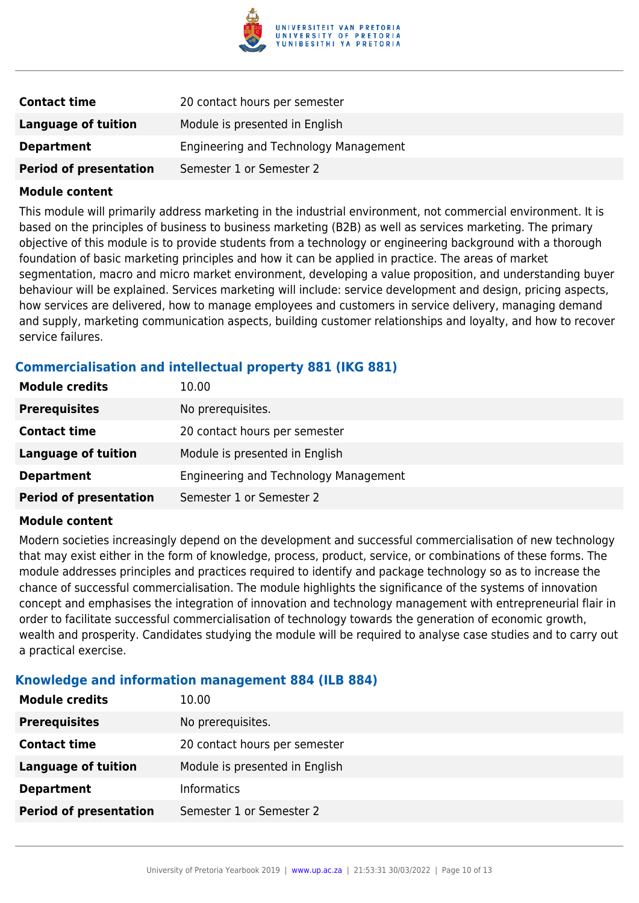

| <b>Contact time</b>           | 20 contact hours per semester         |
|-------------------------------|---------------------------------------|
| Language of tuition           | Module is presented in English        |
| <b>Department</b>             | Engineering and Technology Management |
| <b>Period of presentation</b> | Semester 1 or Semester 2              |

This module will primarily address marketing in the industrial environment, not commercial environment. It is based on the principles of business to business marketing (B2B) as well as services marketing. The primary objective of this module is to provide students from a technology or engineering background with a thorough foundation of basic marketing principles and how it can be applied in practice. The areas of market segmentation, macro and micro market environment, developing a value proposition, and understanding buyer behaviour will be explained. Services marketing will include: service development and design, pricing aspects, how services are delivered, how to manage employees and customers in service delivery, managing demand and supply, marketing communication aspects, building customer relationships and loyalty, and how to recover service failures.

### **Commercialisation and intellectual property 881 (IKG 881)**

| <b>Module credits</b>         | 10.00                                 |
|-------------------------------|---------------------------------------|
| <b>Prerequisites</b>          | No prerequisites.                     |
| <b>Contact time</b>           | 20 contact hours per semester         |
| Language of tuition           | Module is presented in English        |
| <b>Department</b>             | Engineering and Technology Management |
| <b>Period of presentation</b> | Semester 1 or Semester 2              |

### **Module content**

Modern societies increasingly depend on the development and successful commercialisation of new technology that may exist either in the form of knowledge, process, product, service, or combinations of these forms. The module addresses principles and practices required to identify and package technology so as to increase the chance of successful commercialisation. The module highlights the significance of the systems of innovation concept and emphasises the integration of innovation and technology management with entrepreneurial flair in order to facilitate successful commercialisation of technology towards the generation of economic growth, wealth and prosperity. Candidates studying the module will be required to analyse case studies and to carry out a practical exercise.

### **Knowledge and information management 884 (ILB 884)**

| <b>Module credits</b>         | 10.00                          |
|-------------------------------|--------------------------------|
| <b>Prerequisites</b>          | No prerequisites.              |
| <b>Contact time</b>           | 20 contact hours per semester  |
| <b>Language of tuition</b>    | Module is presented in English |
| <b>Department</b>             | <b>Informatics</b>             |
| <b>Period of presentation</b> | Semester 1 or Semester 2       |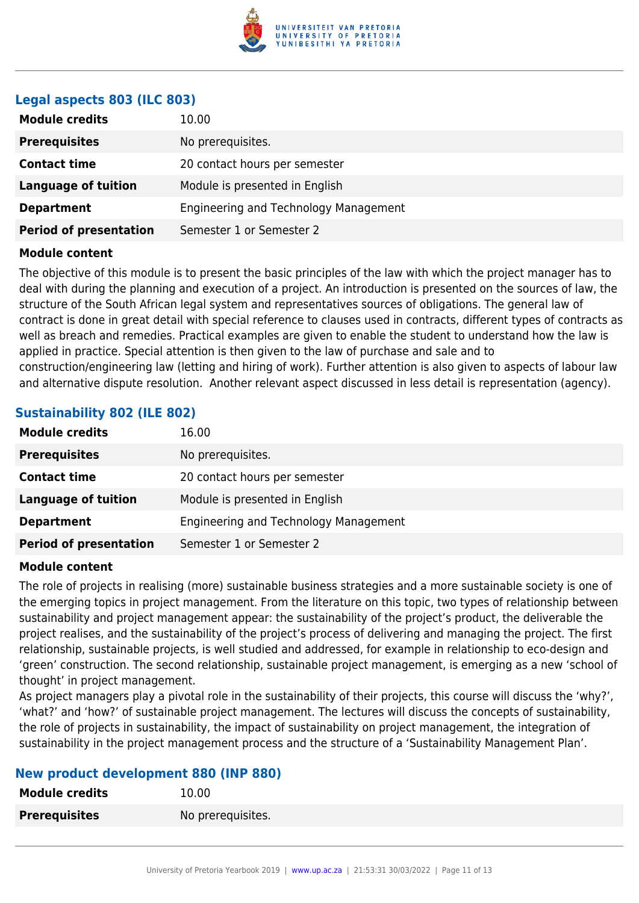

### **Legal aspects 803 (ILC 803)**

| No prerequisites.<br><b>Prerequisites</b>                    |
|--------------------------------------------------------------|
| 20 contact hours per semester<br><b>Contact time</b>         |
| Module is presented in English<br><b>Language of tuition</b> |
| Engineering and Technology Management<br><b>Department</b>   |
| <b>Period of presentation</b><br>Semester 1 or Semester 2    |

### **Module content**

The objective of this module is to present the basic principles of the law with which the project manager has to deal with during the planning and execution of a project. An introduction is presented on the sources of law, the structure of the South African legal system and representatives sources of obligations. The general law of contract is done in great detail with special reference to clauses used in contracts, different types of contracts as well as breach and remedies. Practical examples are given to enable the student to understand how the law is applied in practice. Special attention is then given to the law of purchase and sale and to construction/engineering law (letting and hiring of work). Further attention is also given to aspects of labour law and alternative dispute resolution. Another relevant aspect discussed in less detail is representation (agency).

### **Sustainability 802 (ILE 802)**

| <b>Module credits</b>         | 16.00                                 |
|-------------------------------|---------------------------------------|
| <b>Prerequisites</b>          | No prerequisites.                     |
| <b>Contact time</b>           | 20 contact hours per semester         |
| <b>Language of tuition</b>    | Module is presented in English        |
| <b>Department</b>             | Engineering and Technology Management |
| <b>Period of presentation</b> | Semester 1 or Semester 2              |

### **Module content**

The role of projects in realising (more) sustainable business strategies and a more sustainable society is one of the emerging topics in project management. From the literature on this topic, two types of relationship between sustainability and project management appear: the sustainability of the project's product, the deliverable the project realises, and the sustainability of the project's process of delivering and managing the project. The first relationship, sustainable projects, is well studied and addressed, for example in relationship to eco-design and 'green' construction. The second relationship, sustainable project management, is emerging as a new 'school of thought' in project management.

As project managers play a pivotal role in the sustainability of their projects, this course will discuss the 'why?', 'what?' and 'how?' of sustainable project management. The lectures will discuss the concepts of sustainability, the role of projects in sustainability, the impact of sustainability on project management, the integration of sustainability in the project management process and the structure of a 'Sustainability Management Plan'.

### **New product development 880 (INP 880)**

| <b>Module credits</b> | 10.00             |
|-----------------------|-------------------|
| <b>Prerequisites</b>  | No prerequisites. |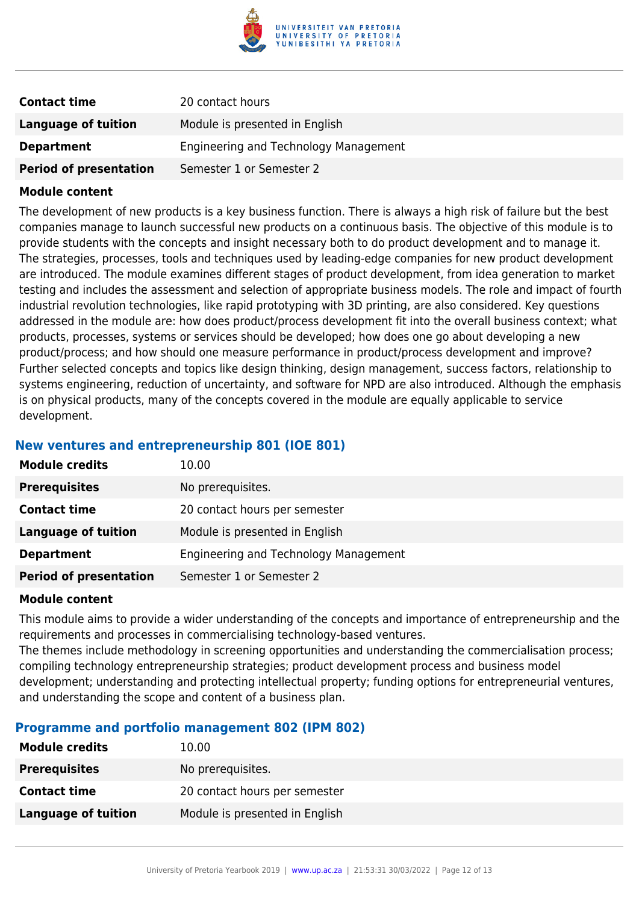

| <b>Contact time</b>           | 20 contact hours                      |
|-------------------------------|---------------------------------------|
| <b>Language of tuition</b>    | Module is presented in English        |
| <b>Department</b>             | Engineering and Technology Management |
| <b>Period of presentation</b> | Semester 1 or Semester 2              |

The development of new products is a key business function. There is always a high risk of failure but the best companies manage to launch successful new products on a continuous basis. The objective of this module is to provide students with the concepts and insight necessary both to do product development and to manage it. The strategies, processes, tools and techniques used by leading-edge companies for new product development are introduced. The module examines different stages of product development, from idea generation to market testing and includes the assessment and selection of appropriate business models. The role and impact of fourth industrial revolution technologies, like rapid prototyping with 3D printing, are also considered. Key questions addressed in the module are: how does product/process development fit into the overall business context; what products, processes, systems or services should be developed; how does one go about developing a new product/process; and how should one measure performance in product/process development and improve? Further selected concepts and topics like design thinking, design management, success factors, relationship to systems engineering, reduction of uncertainty, and software for NPD are also introduced. Although the emphasis is on physical products, many of the concepts covered in the module are equally applicable to service development.

### **New ventures and entrepreneurship 801 (IOE 801)**

| <b>Module credits</b>         | 10.00                                 |
|-------------------------------|---------------------------------------|
| <b>Prerequisites</b>          | No prerequisites.                     |
| <b>Contact time</b>           | 20 contact hours per semester         |
| <b>Language of tuition</b>    | Module is presented in English        |
| <b>Department</b>             | Engineering and Technology Management |
| <b>Period of presentation</b> | Semester 1 or Semester 2              |

### **Module content**

This module aims to provide a wider understanding of the concepts and importance of entrepreneurship and the requirements and processes in commercialising technology-based ventures. The themes include methodology in screening opportunities and understanding the commercialisation process; compiling technology entrepreneurship strategies; product development process and business model

development; understanding and protecting intellectual property; funding options for entrepreneurial ventures, and understanding the scope and content of a business plan.

### **Programme and portfolio management 802 (IPM 802)**

| <b>Module credits</b> | 10.00                          |
|-----------------------|--------------------------------|
| <b>Prerequisites</b>  | No prerequisites.              |
| <b>Contact time</b>   | 20 contact hours per semester  |
| Language of tuition   | Module is presented in English |